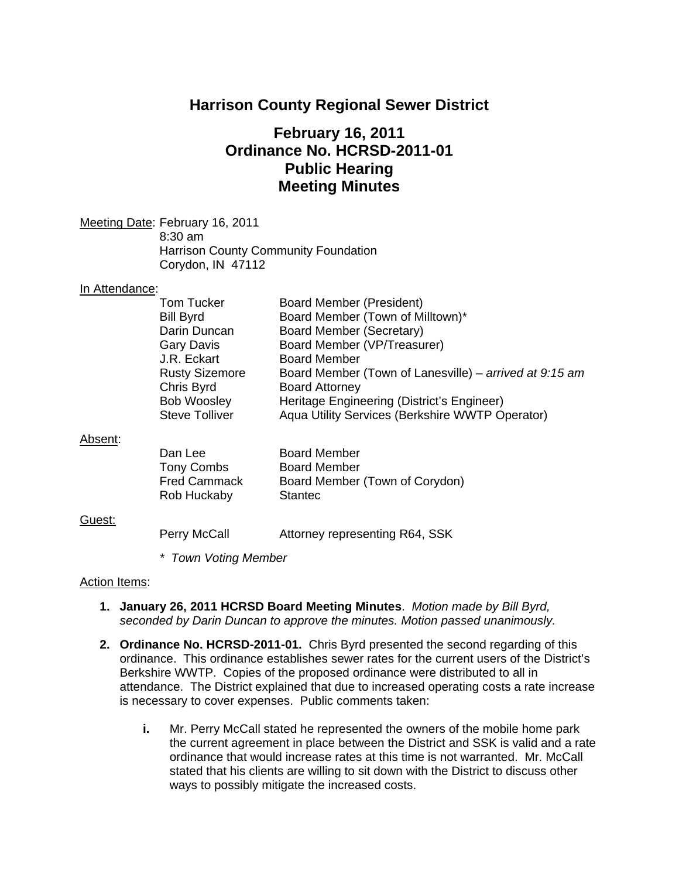# **Harrison County Regional Sewer District**

### **February 16, 2011 Ordinance No. HCRSD-2011-01 Public Hearing Meeting Minutes**

Meeting Date: February 16, 2011 8:30 am Harrison County Community Foundation Corydon, IN 47112

#### In Attendance:

| <b>Tom Tucker</b>     | Board Member (President)                               |
|-----------------------|--------------------------------------------------------|
| <b>Bill Byrd</b>      | Board Member (Town of Milltown)*                       |
| Darin Duncan          | Board Member (Secretary)                               |
| <b>Gary Davis</b>     | Board Member (VP/Treasurer)                            |
| J.R. Eckart           | <b>Board Member</b>                                    |
| <b>Rusty Sizemore</b> | Board Member (Town of Lanesville) – arrived at 9:15 am |
| Chris Byrd            | <b>Board Attorney</b>                                  |
| <b>Bob Woosley</b>    | Heritage Engineering (District's Engineer)             |
| <b>Steve Tolliver</b> | Aqua Utility Services (Berkshire WWTP Operator)        |

#### Absent:

| Dan Lee             | <b>Board Member</b>            |
|---------------------|--------------------------------|
| <b>Tony Combs</b>   | <b>Board Member</b>            |
| <b>Fred Cammack</b> | Board Member (Town of Corydon) |
| Rob Huckaby         | <b>Stantec</b>                 |
|                     |                                |

#### Guest:

Perry McCall Attorney representing R64, SSK

*\* Town Voting Member*

### Action Items:

- **1. January 26, 2011 HCRSD Board Meeting Minutes**. *Motion made by Bill Byrd, seconded by Darin Duncan to approve the minutes. Motion passed unanimously.*
- **2. Ordinance No. HCRSD-2011-01.** Chris Byrd presented the second regarding of this ordinance. This ordinance establishes sewer rates for the current users of the District's Berkshire WWTP. Copies of the proposed ordinance were distributed to all in attendance. The District explained that due to increased operating costs a rate increase is necessary to cover expenses. Public comments taken:
	- **i.** Mr. Perry McCall stated he represented the owners of the mobile home park the current agreement in place between the District and SSK is valid and a rate ordinance that would increase rates at this time is not warranted. Mr. McCall stated that his clients are willing to sit down with the District to discuss other ways to possibly mitigate the increased costs.